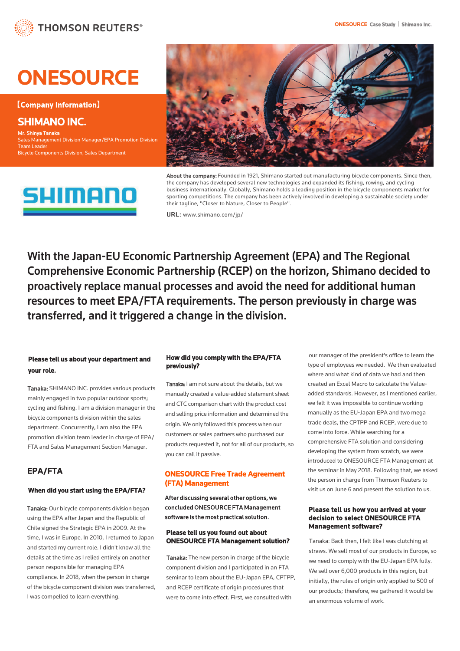# **ONESOURCE**

**【**Company Information**】**

SHIMANO INC. Mr. Shinya Tanaka Sales Management Division Manager/EPA Promotion Division Team Leader Bicycle Components Division, Sales Department





About the company: Founded in 1921, Shimano started out manufacturing bicycle components. Since then, the company has developed several new technologies and expanded its fishing, rowing, and cycling business internationally. Globally, Shimano holds a leading position in the bicycle components market for sporting competitions. The company has been actively involved in developing a sustainable society under their tagline, "Closer to Nature, Closer to People".

**URL:** [www.shimano.com/jp/](http://www.shimano.com/jp/)

With the Japan-EU Economic Partnership Agreement (EPA) and The Regional Comprehensive Economic Partnership (RCEP) on the horizon, Shimano decided to proactively replace manual processes and avoid the need for additional human resources to meet EPA/FTA requirements. The person previously in charge was transferred, and it triggered a change in the division.

## Please tell us about your department and your role.

Tanaka: SHIMANO INC. provides various products mainly engaged in two popular outdoor sports; cycling and fishing. I am a division manager in the bicycle components division within the sales department. Concurrently, I am also the EPA promotion division team leader in charge of EPA/ FTA and Sales Management Section Manager.

# EPA/FTA

#### When did you start using the EPA/FTA?

Tanaka: Our bicycle components division began using the EPA after Japan and the Republic of Chile signed the Strategic EPA in 2009. At the time, I was in Europe. In 2010, I returned to Japan and started my current role. I didn't know all the details at the time as I relied entirely on another person responsible for managing EPA compliance. In 2018, when the person in charge of the bicycle component division was transferred, I was compelled to learn everything.

#### How did you comply with the EPA/FTA previously?

Tanaka: I am not sure about the details, but we manually created a value-added statement sheet and CTC comparison chart with the product cost and selling price information and determined the origin. We only followed this process when our customers or sales partners who purchased our products requested it, not for all of our products, so you can call it passive.

### ONESOURCE Free Trade Agreement (FTA) Management

After discussing several other options, we concluded ONESOURCE FTA Management software is the most practical solution.

#### Please tell us you found out about ONESOURCE FTA Management solution?

Tanaka: The new person in charge of the bicycle component division and I participated in an FTA seminar to learn about the EU-Japan EPA, CPTPP, and RCEP certificate of origin procedures that were to come into effect. First, we consulted with

our manager of the president's office to learn the type of employees we needed. We then evaluated where and what kind of data we had and then created an Excel Macro to calculate the Valueadded standards. However, as I mentioned earlier, we felt it was impossible to continue working manually as the EU-Japan EPA and two mega trade deals, the CPTPP and RCEP, were due to come into force. While searching for a comprehensive FTA solution and considering developing the system from scratch, we were introduced to ONESOURCE FTA Management at the seminar in May 2018. Following that, we asked the person in charge from Thomson Reuters to visit us on June 6 and present the solution to us.

#### Please tell us how you arrived at your decision to select ONESOURCE FTA Management software?

Tanaka: Back then, I felt like I was clutching at straws. We sell most of our products in Europe, so we need to comply with the EU-Japan EPA fully. We sell over 6,000 products in this region, but initially, the rules of origin only applied to 500 of our products; therefore, we gathered it would be an enormous volume of work.